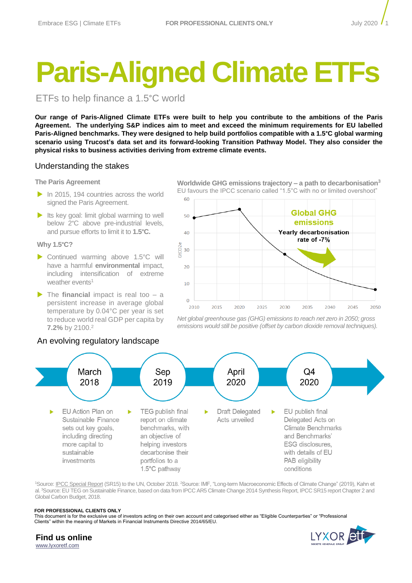# **Paris-Aligned Climate ETFs**

ETFs to help finance a 1.5°C world

**Our range of Paris-Aligned Climate ETFs were built to help you contribute to the ambitions of the Paris Agreement. The underlying S&P indices aim to meet and exceed the minimum requirements for EU labelled Paris-Aligned benchmarks. They were designed to help build portfolios compatible with a 1.5°C global warming scenario using Trucost's data set and its forward-looking Transition Pathway Model. They also consider the physical risks to business activities deriving from extreme climate events.** 

# Understanding the stakes

## **The Paris Agreement**

- $\triangleright$  In 2015, 194 countries across the world signed the Paris Agreement.
- $\blacktriangleright$  Its key goal: limit global warming to well below 2°C above pre-industrial levels, and pursue efforts to limit it to **1.5°C.**

## **Why 1.5°C?**

- ▶ Continued warming above 1.5°C will have a harmful **environmental** impact, including intensification of extreme weather events<sup>1</sup>
- ▶ The **financial** impact is real too a persistent increase in average global temperature by 0.04°C per year is set to reduce world real GDP per capita by **7.2%** by 2100.<sup>2</sup>



**Worldwide GHG emissions trajectory – a path to decarbonisation<sup>3</sup>** EU favours the IPCC scenario called "1.5°C with no or limited overshoot"



*Net global greenhouse gas (GHG) emissions to reach net zero in 2050; gross emissions would still be positive (offset by carbon dioxide removal techniques).*



<sup>1</sup>Source: <u>IPCC Special Report</u> (SR15) to the UN, October 2018. <sup>2</sup>Source: IMF, "Long-term Macroeconomic Effects of Climate Change" (2019), Kahn et al. <sup>3</sup>Source: EU TEG on Sustainable Finance, based on data from IPCC AR5 Climate Change 2014 Synthesis Report, IPCC SR15 report Chapter 2 and Global Carbon Budget, 2018.

## **FOR PROFESSIONAL CLIENTS ONLY**

This document is for the exclusive use of investors acting on their own account and categorised either as "Eligible Counterparties" or "Professional Clients" within the meaning of Markets in Financial Instruments Directive 2014/65/EU.

**Find us online** [www.lyxoretf.com](file:///C:/Users/ddornel041618/AppData/Local/Microsoft/Windows/INetCache/Content.Outlook/XI5BCH42/www.lyxoretf.com)

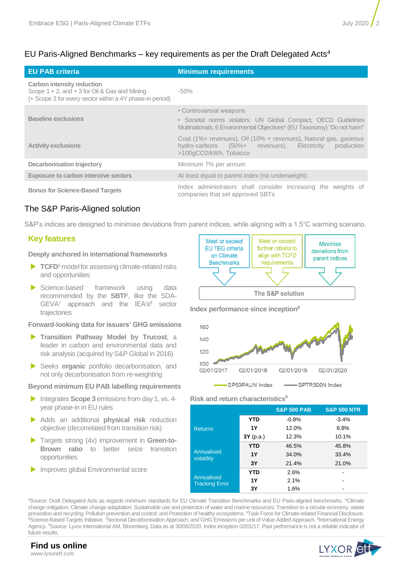# EU Paris-Aligned Benchmarks – key requirements as per the Draft Delegated Acts<sup>4</sup>

| <b>EU PAB criteria</b>                                                                                                                              | <b>Minimum requirements</b>                                                                                                                                          |  |  |  |
|-----------------------------------------------------------------------------------------------------------------------------------------------------|----------------------------------------------------------------------------------------------------------------------------------------------------------------------|--|--|--|
| <b>Carbon intensity reduction</b><br>Scope $1 + 2$ , and $+ 3$ for Oil & Gas and Mining<br>(+ Scope 3 for every sector within a 4Y phase-in period) | $-50\%$                                                                                                                                                              |  |  |  |
| <b>Baseline exclusions</b>                                                                                                                          | • Controversial weapons<br>• Societal norms violators: UN Global Compact, OECD Guidelines<br>Multinationals, 6 Environmental Objectives* (EU Taxonomy) "Do not harm" |  |  |  |
| <b>Activity exclusions</b>                                                                                                                          | Coal (1%+ revenues), Oil (10% + revenues), Natural gas, gaseous<br>hydro-carbons (50%+ revenues), Electricity<br>production<br>>100gCO2/kWh, Tobacco                 |  |  |  |
| <b>Decarbonisation trajectory</b>                                                                                                                   | Minimum 7% per annum                                                                                                                                                 |  |  |  |
| <b>Exposure to carbon intensive sectors</b>                                                                                                         | At least equal to parent index (no underweight)                                                                                                                      |  |  |  |
| <b>Bonus for Science-Based Targets</b>                                                                                                              | Index administrators shall consider increasing the weights of<br>companies that set approved SBTs                                                                    |  |  |  |

# The S&P Paris-Aligned solution

S&P's indices are designed to minimise deviations from parent indices, while aligning with a 1.5°C warming scenario.

# **Key features**

## **Deeply anchored in international frameworks**

- **TCFD**<sup>5</sup> model for assessing climate-related risks and opportunities
- Science-based framework using data recommended by the **SBTI**<sup>6</sup> , like the SDA- $GEVA^7$  approach and the IEA's $8$  sector trajectories

## **Forward-looking data for issuers' GHG emissions**

- **Transition Pathway Model by Trucost**, a leader in carbon and environmental data and risk analysis (acquired by S&P Global in 2016)
- Seeks **organic** portfolio decarbonisation, and not only decarbonisation from re-weighting

**Beyond minimum EU PAB labelling requirements**

- Integrates **Scope 3** emissions from day 1, vs. 4year phase-in in EU rules
- Adds an additional **physical risk** reduction objective (decorrelated from transition risk)
- Targets strong (4x) improvement in **Green-to-Brown ratio** to better seize transition opportunities
- **Improves global Environmental score**



**Index performance since inception<sup>9</sup>**



## **Risk and return characteristics<sup>9</sup>**

|                                     |            | <b>S&amp;P 500 PAB</b> | <b>S&amp;P 500 NTR</b> |
|-------------------------------------|------------|------------------------|------------------------|
| <b>Returns</b>                      | <b>YTD</b> | $-0.8%$                | $-3.4%$                |
|                                     | <b>1Y</b>  | 12.0%                  | 6.8%                   |
|                                     | 3Y(p.a.)   | 12.3%                  | 10.1%                  |
| Annualised<br>volatility            | <b>YTD</b> | 46.5%                  | 45.8%                  |
|                                     | <b>1Y</b>  | 34.0%                  | 33.4%                  |
|                                     | 3Υ         | 21.4%                  | 21.0%                  |
| Annualised<br><b>Tracking Error</b> | <b>YTD</b> | 2.6%                   |                        |
|                                     | <b>1Y</b>  | 2.1%                   |                        |
|                                     | 3Υ         | 1.6%                   |                        |

<sup>4</sup>Source: Draft Delegated Acts as regards minimum standards for EU Climate Transition Benchmarks and EU Paris-aligned benchmarks. \*Climate change mitigation; Climate change adaptation; Sustainable use and protection of water and marine resources; Transition to a circular economy, waste prevention and recycling; Pollution prevention and control; and Protection of healthy ecosystems. <sup>5</sup>Task Force for Climate-related Financial Disclosure. <sup>6</sup>Science-Based Targets Initiative. <sup>7</sup>Sectorial Decarbonisation Approach, and GHG Emissions per unit of Value Added Approach. <sup>8</sup>International Energy Agency. <sup>9</sup>Source: Lyxor International AM, Bloomberg. Data as at 30/06/2020. Index inception 02/01/17. Past performance is not a reliable indicator of future results.

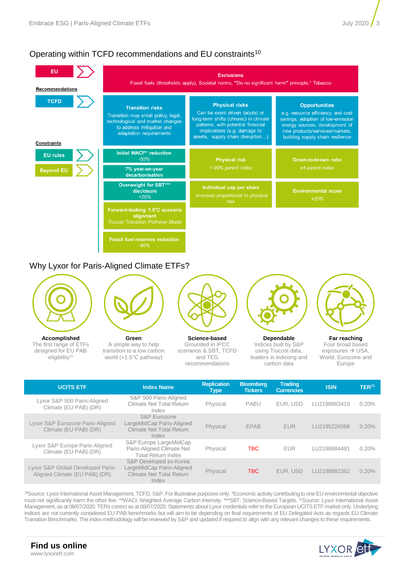# Operating within TCFD recommendations and EU constraints<sup>10</sup>



# Why Lyxor for Paris-Aligned Climate ETFs?



**Accomplished** The first range of ETFs designed for EU PAB eligibility<sup>11</sup>



**Green** A simple way to help transition to a low carbon world (+1.5°C pathway)



**Science-based** Grounded in IPCC scenarios & SBT, TCFD and TEG recommendations



**Dependable** Indices built by S&P using Trucost data, leaders in indexing and carbon data

**Far reaching** Four broad based exposures → USA, World, Eurozone and Europe

| <b>UCITS ETF</b>                                                   | <b>Index Name</b>                                                                        | <b>Replication</b><br><b>Type</b> | <b>Bloomberg</b><br><b>Tickers</b> | <b>Trading</b><br><b>Currencies</b> | <b>ISIN</b>  | TER <sup>11</sup> |
|--------------------------------------------------------------------|------------------------------------------------------------------------------------------|-----------------------------------|------------------------------------|-------------------------------------|--------------|-------------------|
| Lyxor S&P 500 Paris-Aligned<br>Climate (EU PAB) (DR)               | S&P 500 Paris-Aligned<br>Climate Net Total Return<br>Index                               | Physical                          | <b>PABU</b>                        | EUR. USD                            | LU2198883410 | 0.20%             |
| Lyxor S&P Eurozone Paris-Aligned<br>Climate (EU PAB) (DR)          | S&P Eurozone<br>LargeMidCap Paris-Aligned<br>Climate Net Total Return<br>Index           | Physical                          | <b>EPAB</b>                        | <b>EUR</b>                          | LU2195226068 | 0.20%             |
| Lyxor S&P Europe Paris-Aligned<br>Climate (EU PAB) (DR)            | S&P Europe LargeMidCap<br>Paris-Aligned Climate Net<br><b>Total Return Index</b>         | Physical                          | TBC.                               | <b>EUR</b>                          | LU2198884491 | 0.20%             |
| Lyxor S&P Global Developed Paris-<br>Aligned Climate (EU PAB) (DR) | S&P Developed ex-Korea<br>LargeMidCap Paris-Aligned<br>Climate Net Total Return<br>Index | Physical                          | TBC.                               | EUR. USD                            | LU2198882362 | 0.20%             |

<sup>10</sup>Source: Lyxor International Asset Management, TCFD, S&P. For illustrative purposes only. \*Economic activity contributing to one EU environmental objective must not significantly harm the other five. \*\*WACI: Weighted Average Carbon Intensity. \*\*\*SBT: Science-Based Targets. <sup>11</sup>Source: Lyxor International Asset Management, as at 08/07/2020. TERs correct as at 08/07/2020. Statements about Lyxor credentials refer to the European UCITS ETF market only. Underlying indices are not currently considered EU PAB benchmarks but will aim to be depending on final requirements of EU Delegated Acts as regards EU Climate Transition Benchmarks. The index methodology will be reviewed by S&P and updated if required to align with any relevant changes to these requirements.



## **Find us online** www.lyxoretf.com